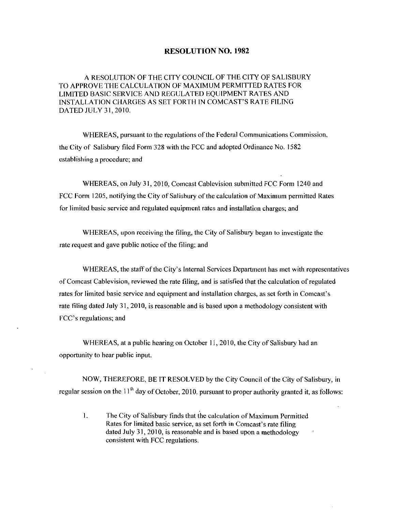#### RESOLUTION NO. 1982

A RESOLUTION OF THE CITY COUNCIL OF THE CITY OF SALISBURY TO APPROVE THE CALCULATION OF MAXIMUM PERMITTED RATES FOR LIMITED BASIC SEKVICE AND REGULATED EQUIPMENT RATES AND RESOLUTION NO. 1982<br>A RESOLUTION OF THE CITY COUNCIL OF THE CITY OF SALISI<br>TO APPROVE THE CALCULATION OF MAXIMUM PERMITTED RATES FORTH INTED BASIC SERVICE AND REGULATED EQUIPMENT RATES AND<br>INSTALLATION CHARGES AS SET FORTH DATED JULY 31, 2010.

WHEREAS, pursuant to the regulations of the Federal Communications Commission. the City of Salisbury filed Form <sup>328</sup> with the FCC and adopted Ordinance No <sup>1582</sup> establishing a procedure; and

WHEREAS, on July 31, 2010, Comcast Cablevision submitted FCC Form 1240 and FCC Form 1205, notifying the City of Salisbury of the calculation of Maximum permitted Rates for limited basic service and regulated equipment rates and installation charges; and

WHEREAS, upon receiving the filing, the City of Salisbury began to investigate the rate request and gave public notice of the filing; and

WHEREAS, the staff of the City's Internal Services Department has met with representatives of Comcast Cablevision, reviewed the rate filing, and is satisfied that the calculation of regulated rate request and gave public notice of the filing; and<br>WHEREAS, the staff of the City's Internal Services Department has met with representa<br>of Comcast Cablevision, reviewed the rate filing, and is satisfied that the calcu rate filing dated July 31, 2010, is reasonable and is based upon a methodology consistent with rates for limited basic service and equipment and installation charges, as set forth in Comcast's rate filing dated July 31, 2010, is reasonable and is based upon a methodology consistent with FCC's regulations; and

WHEREAS, at a public hearing on October 11, 2010, the City of Salisbury had an opportunity to hear public input

NOW, THEREFORE, BE IT RESOLVED by the City Council of the City of Salisbury, in regular session on the  $11<sup>th</sup>$  day of October, 2010, pursuant to proper authority granted it, as follows:

THEREFORE, BE IT RESOLVED by the City Council of the City<br>on the  $11<sup>th</sup>$  day of October, 2010, pursuant to proper authority grant<br>The City of Salisbury finds that the calculation of Maximum Perm<br>Rates for limited basi The City of Salisbury finds that the calculation of Maximum Permitted<br>Rates for limited basic service, as set forth in Comcast's rate filing<br>dated July 31, 2010, is reasonable and is based upon a methodology<br>consistent wit 1. consistent with FCC regulations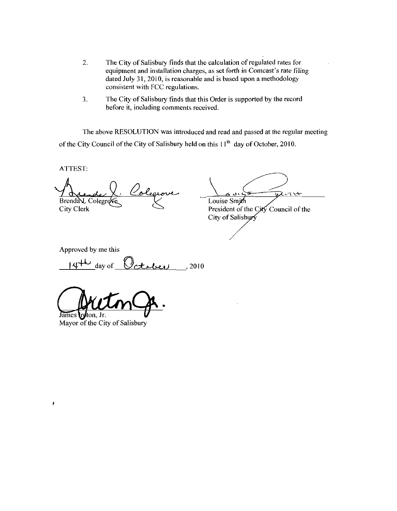- 2. The City of Salisbury finds that the calculation of regulated rates for equipment and installation charges, as set forth in Comcast's rate filing dated July 31, 2010, is reasonable and is based upon a methodology consistent with FCC regulations
- 3. The City of Salisbury finds that this Order is supported by the record before it, including comments received.

The above RESOLUTION was introduced and read and passed at the regular meeting of the City Council of the City of Salisbury held on this  $11<sup>th</sup>$  day of October, 2010.

ATTEST

Brenda L. Colegro<br>City Clerk

 $\sqrt{t}$ Louise Smith

President of the City Council of the City of Salisbury

Approved by me this

 $14^{4\omega}$  day of  $Octabev$ , 2010

James reton, Jr.

Mayor of the City of Salisbury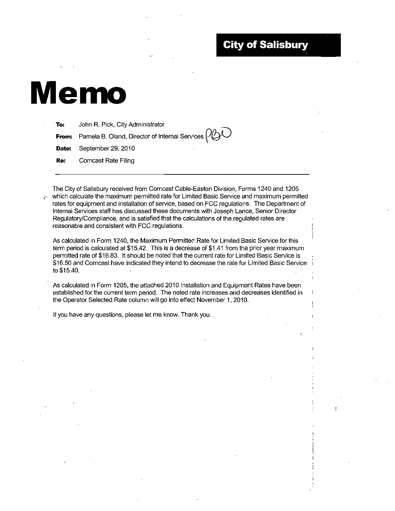# **City of Salisbury**



To: John R. Pick, City Administrator

**From:** Pamela B. Oland, Director of Internal Services  $\frac{1}{2}$ 

Date: September 29, 2010

Re: Comcast Rate Filing

The City of Salisbury received from Comcast Cable-Easton Division, Forms 1240 and 1205 which calculate the maximum permitted rate for Limited Basic Service and maximum permitted rates for equipment and installation of service, based on FCC regulations. The Department of Internal Services staff has discussed these documents with Joseph Lance, Senior Director Regulatory/Compliance, and is satisfied that the calculations of the regulated rates are reasonable and consistent with FCC regulations

As calculated in Form 1240, the Maximum Permitted Rate for Limited Basic Service for this As calculated in Form 1240, the Maximum Permitted Rate for Limited Basic Service for this<br>term period is calculated at \$15.42. This is a decrease of \$1.41 from the prior year maximum<br>permitted rate of \$16.83. It should be term period is calculated at \$15.42. This is a decrease of \$1.41 from the prior year maximum<br>permitted rate of \$16.83. It should be noted that the current rate for Limited Basic Service is<br>\$46.50 and Compact basis indicate permitted rate of \$16.83. It should be noted that the current rate for Limited Basic Service is<br>\$16.50 and Comcast have indicated they intend to decrease the rate for Limited Basic Service<br>................................. .<br>\$16.50 and<br>to \$15.40.

As calculated in Form 1205, the attached 2010 Installation and Equipment Rates have been established for the current term period. The noted rate increases and decreases identified in the Operator Selected Rate column will go into effect November 1, 2010.

If you have any questions, please let me know. Thank you.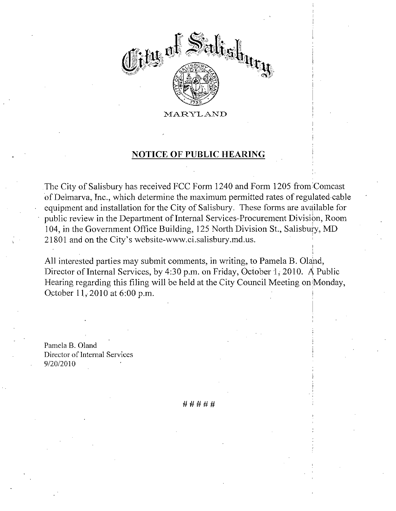

## NOTICE OF PUBLIC HEARING

The City of Salisbury has received FCC Form <sup>1240</sup> and Form <sup>1205</sup> from Comcast of Delmarva, Inc., which determine the maximum permitted rates of regulated cable equipment and installation for the City of Salisbury. These forms are available for public review in the Department of Internal Services-Procurement Division, Room 104, in the Government Office Building, 125 North Division St., Salisbury, MD 21801 and on the City's website-www.ci.salisbury.md.us. MARYLAND<br>
MOTICE OF PUBLIC HEARING<br>
The City of Salisbury has received FCC Form 1240 and Form<br>
of Delmarva, Inc., which determine the maximum permitted<br>
equipment and installation for the City of Salisbury. These<br>
public r MARYLAND<br>
MARYLAND<br>
DIRECTOR PUBLIC HEARING<br>
The City of Salisbury has received FCC Form 1240 and Form 1205 f<br>
of Delmarva, Inc., which determine the maximum permitted rates of i<br>
equipment and installation for the City of

All interested parties may submit comments, in writing, to Pamela B. Oland, Director of Internal Services, by 4:30 p.m. on Friday, October 1, 2010. A Public Hearing regarding this filing will be held at the City Council Meeting on Monday, October  $11, 2010$  at  $6:00$  p.m.

Pamela B. Oland Director of Internal Services Pamela B.<br>Director of<br>9/20/2010

#####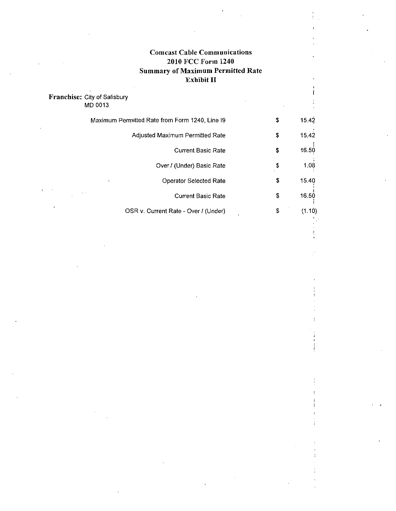# Comcast Cable Communications 2010 FCC Form 1240 Summary of Maximum Permitted Rate Exhibit II

i

### Franchise: City of Salisbury MD 0013

|        | Maximum Permitted Rate from Form 1240, Line 19 | \$<br>15.42  |
|--------|------------------------------------------------|--------------|
|        | Adjusted Maximum Permitted Rate                | \$<br>15.42  |
|        | <b>Current Basic Rate</b>                      | \$<br>16.50  |
|        | Over / (Under) Basic Rate                      | \$<br>1.08   |
|        | <b>Operator Selected Rate</b>                  | \$<br>15.40  |
| $\sim$ | <b>Current Basic Rate</b>                      | \$<br>16.50  |
|        | OSR v. Current Rate - Over / (Under)           | \$<br>(1.10) |
|        |                                                |              |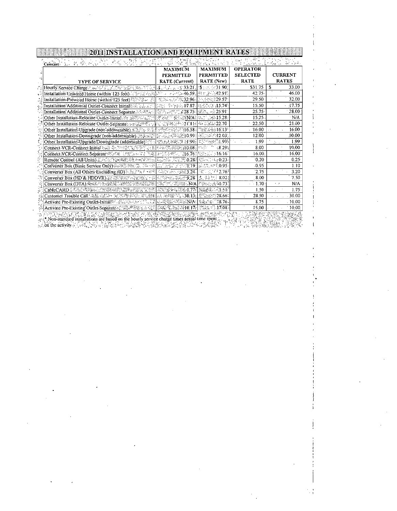| <b>TYPE OF SERVICE</b>                                                                                                                                                                  | <b>MAXIMUM</b><br><b>PERMITTED</b><br><b>RATE</b> (Current)                                                                                                                                                                                                                                                         | SI YANKI MARKATASHA YA MATA<br><b>MAXIMUM</b><br>PERMITTED<br>RATE (New) | <b>OPERATOR</b><br><b>SELECTED</b><br><b>RATE</b> | <b>CURRENT</b><br><b>RATES</b>  |
|-----------------------------------------------------------------------------------------------------------------------------------------------------------------------------------------|---------------------------------------------------------------------------------------------------------------------------------------------------------------------------------------------------------------------------------------------------------------------------------------------------------------------|--------------------------------------------------------------------------|---------------------------------------------------|---------------------------------|
| Hourly Service Charge Product Sing Construction of                                                                                                                                      | $\frac{1}{2}$ $\frac{1}{2}$ $\frac{1}{2}$ $\frac{1}{2}$ $\frac{1}{2}$ $\frac{1}{2}$ $\frac{1}{2}$ $\frac{1}{2}$ $\frac{1}{2}$ $\frac{1}{2}$ $\frac{1}{2}$ $\frac{1}{2}$ $\frac{1}{2}$ $\frac{1}{2}$ $\frac{1}{2}$ $\frac{1}{2}$ $\frac{1}{2}$ $\frac{1}{2}$ $\frac{1}{2}$ $\frac{1}{2}$ $\frac{1}{2}$ $\frac{1}{2}$ | $\frac{1}{3}$ : :::::: 31.90                                             | \$31.75                                           | $\mathbf{\mathcal{S}}$<br>33.00 |
| Installation-Unwired Home (within 125 feet)                                                                                                                                             | ి : పాటు 46.59.                                                                                                                                                                                                                                                                                                     | <sup>起</sup> 行 返 42.91。                                                  | 42.75                                             | 46.00                           |
| Installation-Prewired Home (within 125 feet)                                                                                                                                            | 李真宗 // 唐32.964                                                                                                                                                                                                                                                                                                      | 14 14 22 29:57                                                           | 29.50                                             | 32.00                           |
| Installation Additional Outlet-Connect Initial Cite is the C                                                                                                                            | (45) 오늘동17.87. 대표로 15.74월                                                                                                                                                                                                                                                                                           |                                                                          | 15.50<br>lt e                                     | 17.75                           |
| Installation Additional Outlet-Connect Separate                                                                                                                                         | [공소, 28.75] [須吾, 25.911                                                                                                                                                                                                                                                                                             |                                                                          | $25.75 -$                                         | 28.00                           |
| Other Installation-Relocate Outlet-Initial and ASS is a soil                                                                                                                            | 燃油近千橋松(湖 <b>N/A</b> 線 40.01 1008 <b>15.28</b> )                                                                                                                                                                                                                                                                     |                                                                          | 15.25                                             | · N/A                           |
| Other Installation-Relocate Outlet-Separate: 1865, 2019                                                                                                                                 | 航空转换系统21.11排                                                                                                                                                                                                                                                                                                        | 22.70 بھائے جاتا                                                         | 22.50                                             | 21.00                           |
| Other Installation-Upgrade (non-addressable) A 32 to                                                                                                                                    | $\mathbb{E}[\mathbb{E}[\mathcal{N}_{\text{tot}}] \mathbb{E}[\mathcal{N}_{\text{tot}}] = 16.584] \mathbb{E}[\mathbb{E}[\mathcal{N}_{\text{tot}}] \mathbb{E}[\mathcal{N}_{\text{tot}}] = 16.13^{\circ}$                                                                                                               |                                                                          | 16.00                                             | 16.00                           |
| Other Installation-Downgrade (non-addressable) Freezen                                                                                                                                  |                                                                                                                                                                                                                                                                                                                     |                                                                          | 12.00                                             | 10.00                           |
| Other Installation-Upgrade/Downgrade (addressable)                                                                                                                                      | TARK AND REPORT OF THE CONTROL OF A                                                                                                                                                                                                                                                                                 |                                                                          | 1.99                                              | 1.99 <sup>°</sup><br>A.         |
| Connect VCR-Connect initial and the second state of the                                                                                                                                 | 网络燃烧醋酸钠 0.08 NSW                                                                                                                                                                                                                                                                                                    | 8.29.                                                                    | 8.00                                              | 10.00                           |
| Connect VCR-Connect Separate World in the Second                                                                                                                                        | <b>情急感 (頭16.76)</b>                                                                                                                                                                                                                                                                                                 | <b>MANUEL 16:16</b>                                                      | 16.00                                             | 16.00                           |
| Remote Control (All Units)紅尾尾頭綱肥綠一部地                                                                                                                                                    | ila.23박 . Mid.23 0.28월 41 ~ 11 0.23 :                                                                                                                                                                                                                                                                               |                                                                          | 0.20                                              | 0.25                            |
| Converter Box (Basic Service Only) Safety Street, The of                                                                                                                                | <b>《法解》、《《阳》 《於》 (6.95)</b>                                                                                                                                                                                                                                                                                         |                                                                          | 0.95                                              | 1.10                            |
| Converter Box (All Others Excluding HD) and the finite line                                                                                                                             | <b>Garriers 1988 3.24.</b>                                                                                                                                                                                                                                                                                          | $31 - 12.76$                                                             | 2.75                                              | 3.20                            |
| Converter Box (HD & HDDVR)                                                                                                                                                              | . "海州新闻现在9.28" [孟 李叔) 8:02                                                                                                                                                                                                                                                                                          |                                                                          | 8.00                                              | 7.50                            |
| Converter Box (DTA):海绵小头或跨膜的影响半视图                                                                                                                                                       | $\mathbb{K}$ , as $\mathbb{N}$ and $\mathbb{N}$ and $\mathbb{N}$ $\mathbb{N}$ and $\mathbb{N}$ $\mathbb{N}$ and $\mathbb{N}$ and $\mathbb{N}$                                                                                                                                                                       |                                                                          | $-1.70$                                           | N/A<br>۰.,                      |
|                                                                                                                                                                                         | AYA MASA A SHEAL 1776                                                                                                                                                                                                                                                                                               | 建議  第二、『1.51』                                                            | 1.50                                              | 1.75                            |
| Customer Trouble Call 高麗高麗社 流態拳話な話表題                                                                                                                                                    | al application (30.13)                                                                                                                                                                                                                                                                                              | 翻訳#所 28.667                                                              | 28.50                                             | 30.00                           |
| Activate Pre-Existing Outlet-Initial® - Showhele the State                                                                                                                              | G-RESECTED N/A BANK 38.76                                                                                                                                                                                                                                                                                           |                                                                          | 8.75                                              | .10,00                          |
| Activate Pre-Existing Outlet-Separate & 家族學學家及及電子課程學系法法每10.17<br>$\sim$ $\gamma$ was the contract in statistical depend on the hourly service charge times actual time spent $\alpha$ . |                                                                                                                                                                                                                                                                                                                     | 西瀛 第17.08                                                                | 15.00                                             | 10.00                           |

 $\ddagger$ 

 $\frac{1}{2}$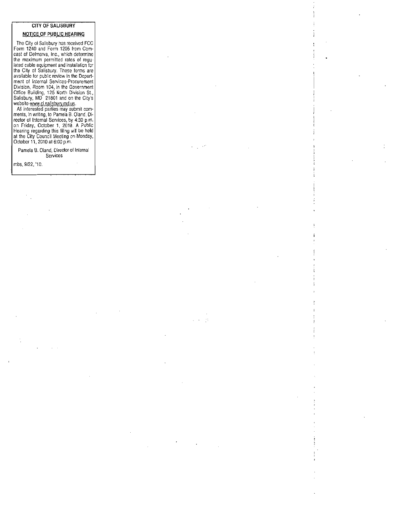### CITY OF SALISBURY NOTICE OF PUBLIC HEARING

The City of Salisbury has received FCC Form 1240 and Form 1205 from Com-<br>cast of Delmarva, Inc., which determine the maximum permitted rates of regu lated cable equipment and installation for<br>the City of Salisbury. These forms are available for public review in the Depart ment of Internal Services Procurement Division Room 104 in the Government Office Building 125 North Division SL Then of memal Services-Procentent<br>Division, Room 104, in the Government<br>Office Building, 125 North Division St.,<br>Salisbury, MD 21801 and on the City's<br>website-www.cl.salisbury.md.us. available for public review in the Department<br>ment of Internal Services-Procurement<br>Division, Room 104, in the Government<br>Office Building, 125 North Division St.,<br>Salisbury, MD 21801 and on the City's<br>website-www.ci.salisb

ments in writing to Pamela B Oland Di All interested parties may submit comments, in writing to Pamela B. Oland, Director of Internal Services, by 4:30 p.m.<br>on Friday, October 1, 2010. A Public Hearing regarding this filing will be held<br>at the City Council Mee

Pamela B. Oland, Director of Interna Services

|<br>|<br>| |<br>| |<br>|<br>|<br>|<br>|

**レスト 食** 

mbs, 9/22, '10.

 $\bar{\phantom{a}}$